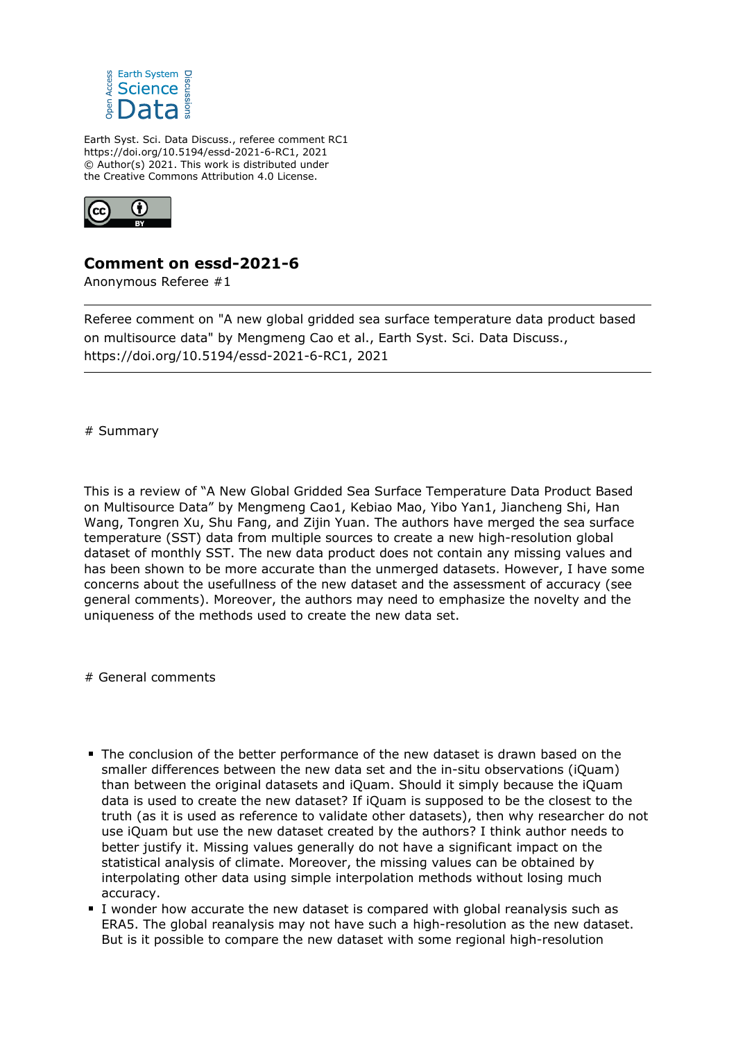

Earth Syst. Sci. Data Discuss., referee comment RC1 https://doi.org/10.5194/essd-2021-6-RC1, 2021 © Author(s) 2021. This work is distributed under the Creative Commons Attribution 4.0 License.



## **Comment on essd-2021-6**

Anonymous Referee #1

Referee comment on "A new global gridded sea surface temperature data product based on multisource data" by Mengmeng Cao et al., Earth Syst. Sci. Data Discuss., https://doi.org/10.5194/essd-2021-6-RC1, 2021

# Summary

This is a review of "A New Global Gridded Sea Surface Temperature Data Product Based on Multisource Data" by Mengmeng Cao1, Kebiao Mao, Yibo Yan1, Jiancheng Shi, Han Wang, Tongren Xu, Shu Fang, and Zijin Yuan. The authors have merged the sea surface temperature (SST) data from multiple sources to create a new high-resolution global dataset of monthly SST. The new data product does not contain any missing values and has been shown to be more accurate than the unmerged datasets. However, I have some concerns about the usefullness of the new dataset and the assessment of accuracy (see general comments). Moreover, the authors may need to emphasize the novelty and the uniqueness of the methods used to create the new data set.

# General comments

- The conclusion of the better performance of the new dataset is drawn based on the smaller differences between the new data set and the in-situ observations (iQuam) than between the original datasets and iQuam. Should it simply because the iQuam data is used to create the new dataset? If iQuam is supposed to be the closest to the truth (as it is used as reference to validate other datasets), then why researcher do not use iQuam but use the new dataset created by the authors? I think author needs to better justify it. Missing values generally do not have a significant impact on the statistical analysis of climate. Moreover, the missing values can be obtained by interpolating other data using simple interpolation methods without losing much accuracy.
- I wonder how accurate the new dataset is compared with global reanalysis such as ERA5. The global reanalysis may not have such a high-resolution as the new dataset. But is it possible to compare the new dataset with some regional high-resolution